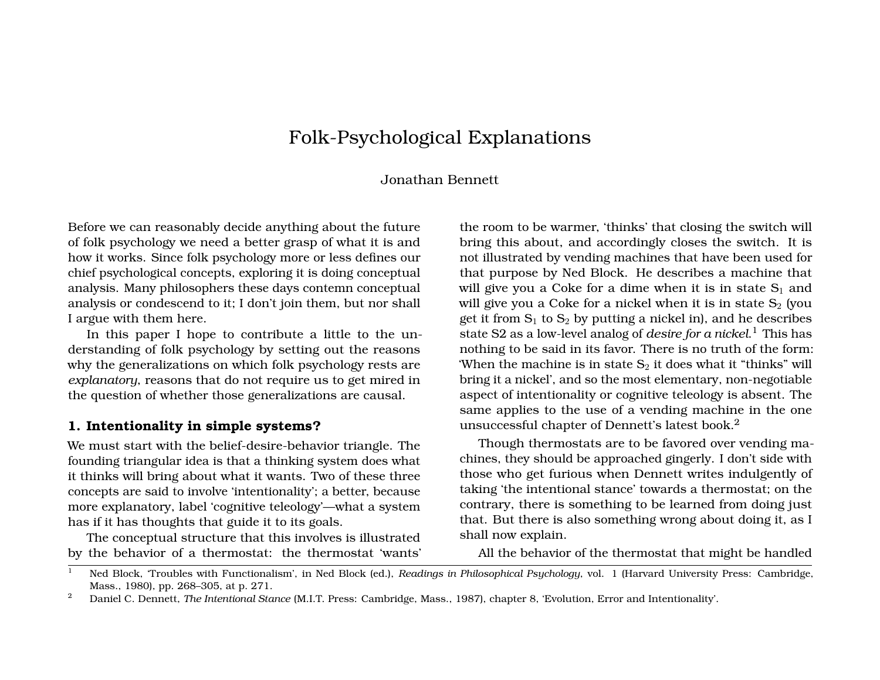# Folk-Psychological Explanations

## Jonathan Bennett

Before we can reasonably decide anything about the future of folk psychology we need a better grasp of what it is and how it works. Since folk psychology more or less defines our chief psychological concepts, exploring it is doing conceptual analysis. Many philosophers these days contemn conceptual analysis or condescend to it; I don't join them, but nor shall I argue with them here.

In this paper I hope to contribute a little to the understanding of folk psychology by setting out the reasons why the generalizations on which folk psychology rests are *explanatory*, reasons that do not require us to get mired in the question of whether those generalizations are causal.

#### **1. Intentionality in simple systems?**

We must start with the belief-desire-behavior triangle. The founding triangular idea is that a thinking system does what it thinks will bring about what it wants. Two of these three concepts are said to involve 'intentionality'; a better, because more explanatory, label 'cognitive teleology'—what a system has if it has thoughts that guide it to its goals.

The conceptual structure that this involves is illustrated by the behavior of a thermostat: the thermostat 'wants'

the room to be warmer, 'thinks' that closing the switch will bring this about, and accordingly closes the switch. It is not illustrated by vending machines that have been used for that purpose by Ned Block. He describes a machine that will give you a Coke for a dime when it is in state  $S_1$  and will give you a Coke for a nickel when it is in state  $S_2$  (you get it from  $S_1$  to  $S_2$  by putting a nickel in), and he describes state S2 as a low-level analog of *desire for a nickel*. <sup>1</sup> This has nothing to be said in its favor. There is no truth of the form: 'When the machine is in state  $S_2$  it does what it "thinks" will bring it a nickel', and so the most elementary, non-negotiable aspect of intentionality or cognitive teleology is absent. The same applies to the use of a vending machine in the one unsuccessful chapter of Dennett's latest book.<sup>2</sup>

Though thermostats are to be favored over vending machines, they should be approached gingerly. I don't side with those who get furious when Dennett writes indulgently of taking 'the intentional stance' towards a thermostat; on the contrary, there is something to be learned from doing just that. But there is also something wrong about doing it, as I shall now explain.

All the behavior of the thermostat that might be handled

<sup>1</sup> Ned Block, 'Troubles with Functionalism', in Ned Block (ed.), *Readings in Philosophical Psychology*, vol. 1 (Harvard University Press: Cambridge, Mass., 1980), pp. 268–305, at p. 271.

<sup>2</sup> Daniel C. Dennett, *The Intentional Stance* (M.I.T. Press: Cambridge, Mass., 1987), chapter 8, 'Evolution, Error and Intentionality'.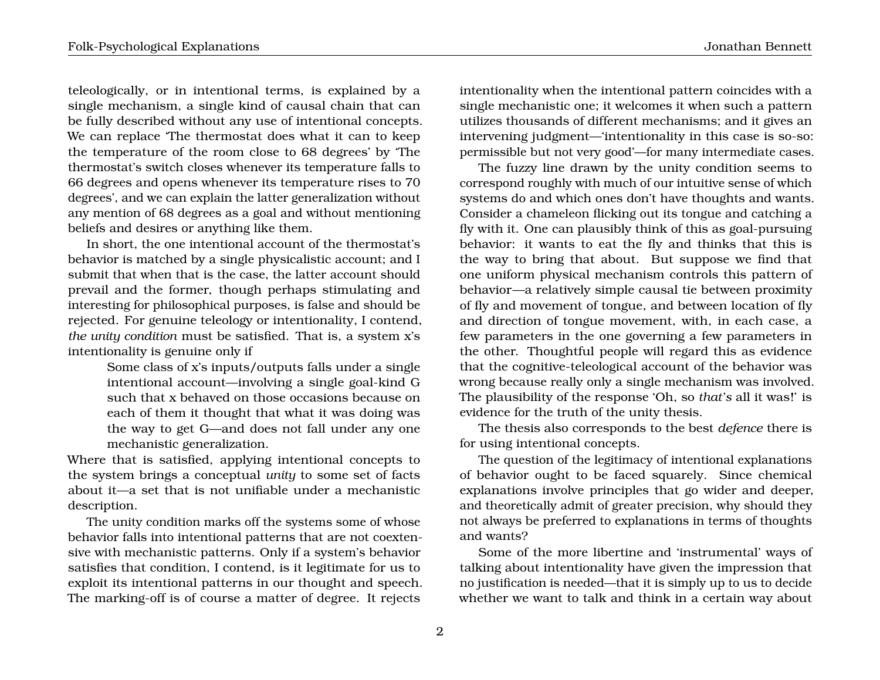teleologically, or in intentional terms, is explained by a single mechanism, a single kind of causal chain that can be fully described without any use of intentional concepts. We can replace 'The thermostat does what it can to keep the temperature of the room close to 68 degrees' by 'The thermostat's switch closes whenever its temperature falls to 66 degrees and opens whenever its temperature rises to 70 degrees', and we can explain the latter generalization without any mention of 68 degrees as a goal and without mentioning beliefs and desires or anything like them.

In short, the one intentional account of the thermostat's behavior is matched by a single physicalistic account; and I submit that when that is the case, the latter account should prevail and the former, though perhaps stimulating and interesting for philosophical purposes, is false and should be rejected. For genuine teleology or intentionality, I contend, *the unity condition* must be satisfied. That is, a system x's intentionality is genuine only if

> Some class of x's inputs/outputs falls under a single intentional account—involving a single goal-kind G such that x behaved on those occasions because on each of them it thought that what it was doing was the way to get G—and does not fall under any one mechanistic generalization.

Where that is satisfied, applying intentional concepts to the system brings a conceptual *unity* to some set of facts about it—a set that is not unifiable under a mechanistic description.

The unity condition marks off the systems some of whose behavior falls into intentional patterns that are not coextensive with mechanistic patterns. Only if a system's behavior satisfies that condition, I contend, is it legitimate for us to exploit its intentional patterns in our thought and speech. The marking-off is of course a matter of degree. It rejects

intentionality when the intentional pattern coincides with a single mechanistic one; it welcomes it when such a pattern utilizes thousands of different mechanisms; and it gives an intervening judgment—'intentionality in this case is so-so: permissible but not very good'—for many intermediate cases.

The fuzzy line drawn by the unity condition seems to correspond roughly with much of our intuitive sense of which systems do and which ones don't have thoughts and wants. Consider a chameleon flicking out its tongue and catching a fly with it. One can plausibly think of this as goal-pursuing behavior: it wants to eat the fly and thinks that this is the way to bring that about. But suppose we find that one uniform physical mechanism controls this pattern of behavior—a relatively simple causal tie between proximity of fly and movement of tongue, and between location of fly and direction of tongue movement, with, in each case, a few parameters in the one governing a few parameters in the other. Thoughtful people will regard this as evidence that the cognitive-teleological account of the behavior was wrong because really only a single mechanism was involved. The plausibility of the response 'Oh, so *that's* all it was!' is evidence for the truth of the unity thesis.

The thesis also corresponds to the best *defence* there is for using intentional concepts.

The question of the legitimacy of intentional explanations of behavior ought to be faced squarely. Since chemical explanations involve principles that go wider and deeper, and theoretically admit of greater precision, why should they not always be preferred to explanations in terms of thoughts and wants?

Some of the more libertine and 'instrumental' ways of talking about intentionality have given the impression that no justification is needed—that it is simply up to us to decide whether we want to talk and think in a certain way about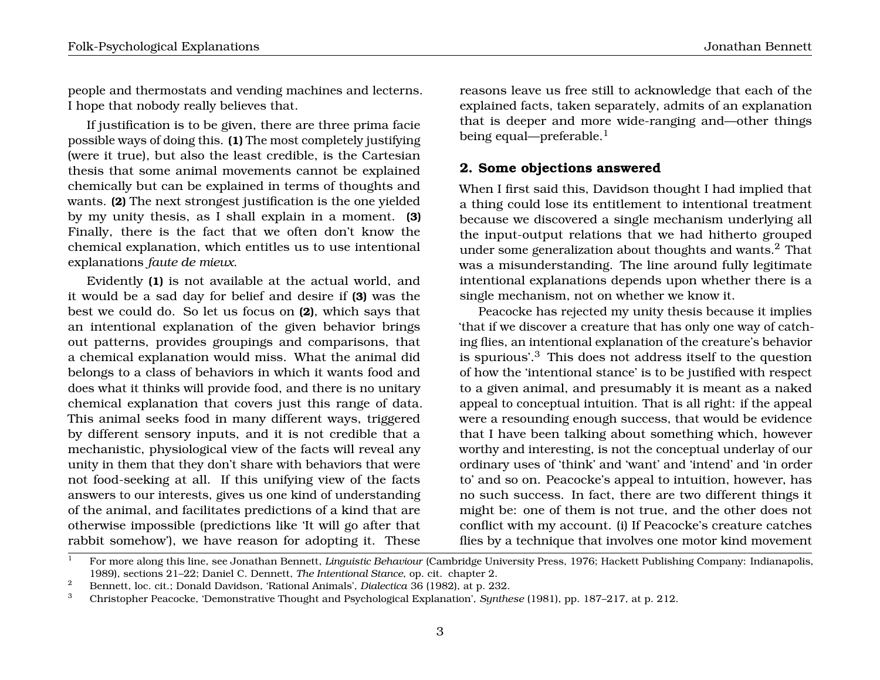people and thermostats and vending machines and lecterns. I hope that nobody really believes that.

If justification is to be given, there are three prima facie possible ways of doing this. **(1)** The most completely justifying (were it true), but also the least credible, is the Cartesian thesis that some animal movements cannot be explained chemically but can be explained in terms of thoughts and wants. **(2)** The next strongest justification is the one yielded by my unity thesis, as I shall explain in a moment. **(3)** Finally, there is the fact that we often don't know the chemical explanation, which entitles us to use intentional explanations *faute de mieux*.

Evidently **(1)** is not available at the actual world, and it would be a sad day for belief and desire if **(3)** was the best we could do. So let us focus on **(2)**, which says that an intentional explanation of the given behavior brings out patterns, provides groupings and comparisons, that a chemical explanation would miss. What the animal did belongs to a class of behaviors in which it wants food and does what it thinks will provide food, and there is no unitary chemical explanation that covers just this range of data. This animal seeks food in many different ways, triggered by different sensory inputs, and it is not credible that a mechanistic, physiological view of the facts will reveal any unity in them that they don't share with behaviors that were not food-seeking at all. If this unifying view of the facts answers to our interests, gives us one kind of understanding of the animal, and facilitates predictions of a kind that are otherwise impossible (predictions like 'It will go after that rabbit somehow'), we have reason for adopting it. These

reasons leave us free still to acknowledge that each of the explained facts, taken separately, admits of an explanation that is deeper and more wide-ranging and—other things being equal—preferable. $<sup>1</sup>$ </sup>

#### **2. Some objections answered**

When I first said this, Davidson thought I had implied that a thing could lose its entitlement to intentional treatment because we discovered a single mechanism underlying all the input-output relations that we had hitherto grouped under some generalization about thoughts and wants.<sup>2</sup> That was a misunderstanding. The line around fully legitimate intentional explanations depends upon whether there is a single mechanism, not on whether we know it.

Peacocke has rejected my unity thesis because it implies 'that if we discover a creature that has only one way of catching flies, an intentional explanation of the creature's behavior is spurious'.<sup>3</sup> This does not address itself to the question of how the 'intentional stance' is to be justified with respect to a given animal, and presumably it is meant as a naked appeal to conceptual intuition. That is all right: if the appeal were a resounding enough success, that would be evidence that I have been talking about something which, however worthy and interesting, is not the conceptual underlay of our ordinary uses of 'think' and 'want' and 'intend' and 'in order to' and so on. Peacocke's appeal to intuition, however, has no such success. In fact, there are two different things it might be: one of them is not true, and the other does not conflict with my account. (i) If Peacocke's creature catches flies by a technique that involves one motor kind movement

<sup>&</sup>lt;sup>1</sup> For more along this line, see Jonathan Bennett, *Linguistic Behaviour* (Cambridge University Press, 1976; Hackett Publishing Company: Indianapolis, 1989), sections 21–22; Daniel C. Dennett, *The Intentional Stance*, op. cit. chapter 2.

<sup>&</sup>lt;sup>2</sup> Bennett, loc. cit.; Donald Davidson, 'Rational Animals', *Dialectica* 36 (1982), at p. 232.<br><sup>3</sup> Christopher Peacealia 'Demonstrative Thought and Peychological Evalenction', Sunther

<sup>3</sup> Christopher Peacocke, 'Demonstrative Thought and Psychological Explanation', *Synthese* (1981), pp. 187–217, at p. 212.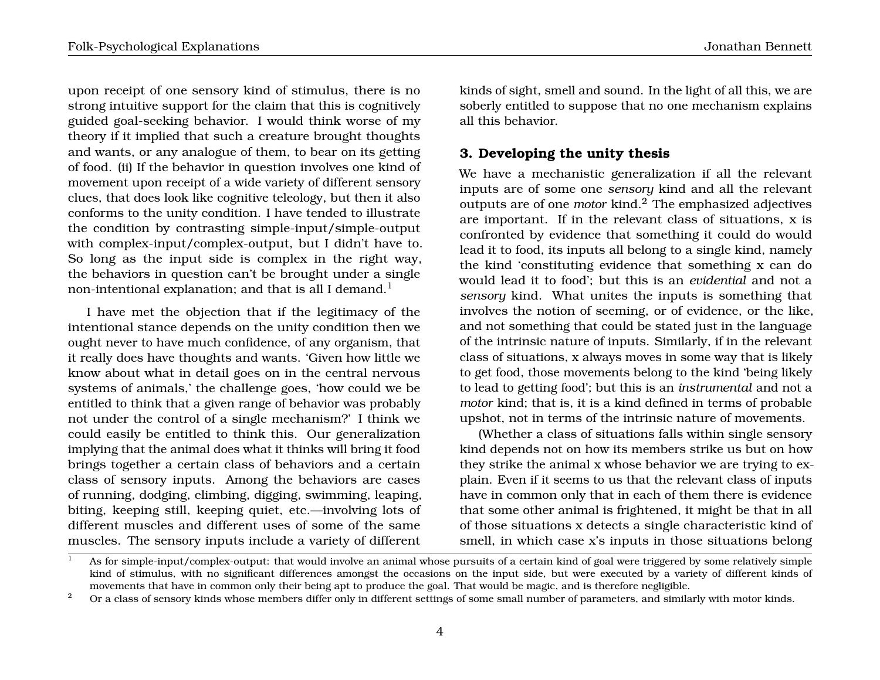upon receipt of one sensory kind of stimulus, there is no strong intuitive support for the claim that this is cognitively guided goal-seeking behavior. I would think worse of my theory if it implied that such a creature brought thoughts and wants, or any analogue of them, to bear on its getting of food. (ii) If the behavior in question involves one kind of movement upon receipt of a wide variety of different sensory clues, that does look like cognitive teleology, but then it also conforms to the unity condition. I have tended to illustrate the condition by contrasting simple-input/simple-output with complex-input/complex-output, but I didn't have to. So long as the input side is complex in the right way, the behaviors in question can't be brought under a single non-intentional explanation; and that is all I demand.<sup>1</sup>

I have met the objection that if the legitimacy of the intentional stance depends on the unity condition then we ought never to have much confidence, of any organism, that it really does have thoughts and wants. 'Given how little we know about what in detail goes on in the central nervous systems of animals,' the challenge goes, 'how could we be entitled to think that a given range of behavior was probably not under the control of a single mechanism?' I think we could easily be entitled to think this. Our generalization implying that the animal does what it thinks will bring it food brings together a certain class of behaviors and a certain class of sensory inputs. Among the behaviors are cases of running, dodging, climbing, digging, swimming, leaping, biting, keeping still, keeping quiet, etc.—involving lots of different muscles and different uses of some of the same muscles. The sensory inputs include a variety of different kinds of sight, smell and sound. In the light of all this, we are soberly entitled to suppose that no one mechanism explains all this behavior.

# **3. Developing the unity thesis**

We have a mechanistic generalization if all the relevant inputs are of some one *sensory* kind and all the relevant outputs are of one *motor* kind.<sup>2</sup> The emphasized adjectives are important. If in the relevant class of situations, x is confronted by evidence that something it could do would lead it to food, its inputs all belong to a single kind, namely the kind 'constituting evidence that something x can do would lead it to food'; but this is an *evidential* and not a *sensory* kind. What unites the inputs is something that involves the notion of seeming, or of evidence, or the like, and not something that could be stated just in the language of the intrinsic nature of inputs. Similarly, if in the relevant class of situations, x always moves in some way that is likely to get food, those movements belong to the kind 'being likely to lead to getting food'; but this is an *instrumental* and not a *motor* kind; that is, it is a kind defined in terms of probable upshot, not in terms of the intrinsic nature of movements.

(Whether a class of situations falls within single sensory kind depends not on how its members strike us but on how they strike the animal x whose behavior we are trying to explain. Even if it seems to us that the relevant class of inputs have in common only that in each of them there is evidence that some other animal is frightened, it might be that in all of those situations x detects a single characteristic kind of smell, in which case x's inputs in those situations belong

<sup>1</sup> As for simple-input/complex-output: that would involve an animal whose pursuits of a certain kind of goal were triggered by some relatively simple kind of stimulus, with no significant differences amongst the occasions on the input side, but were executed by a variety of different kinds of movements that have in common only their being apt to produce the goal. That would be magic, and is therefore negligible.

<sup>&</sup>lt;sup>2</sup> Or a class of sensory kinds whose members differ only in different settings of some small number of parameters, and similarly with motor kinds.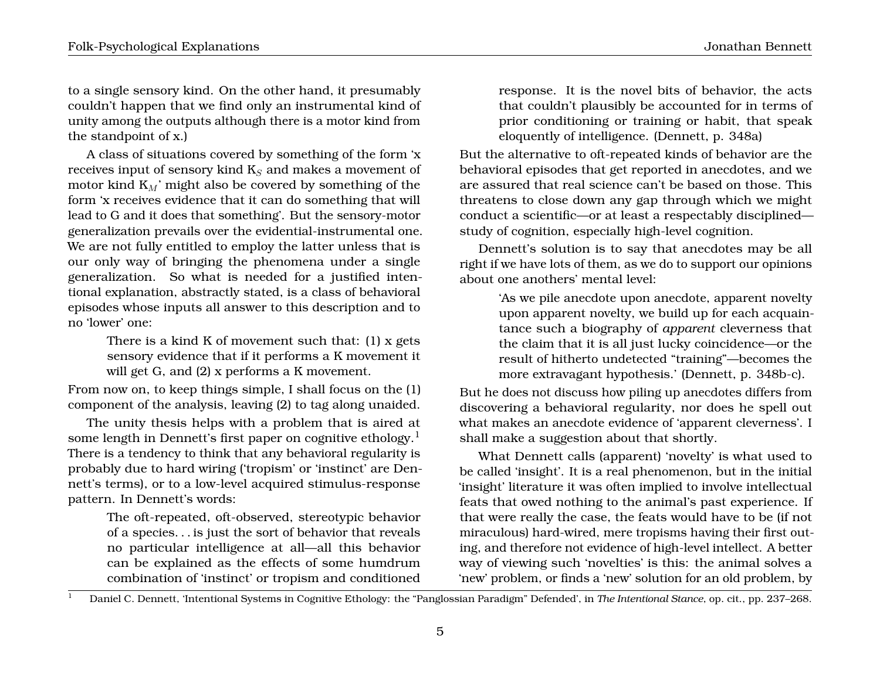to a single sensory kind. On the other hand, it presumably couldn't happen that we find only an instrumental kind of unity among the outputs although there is a motor kind from the standpoint of x.)

A class of situations covered by something of the form 'x receives input of sensory kind  $K_S$  and makes a movement of motor kind  $K_M$ ' might also be covered by something of the form 'x receives evidence that it can do something that will lead to G and it does that something'. But the sensory-motor generalization prevails over the evidential-instrumental one. We are not fully entitled to employ the latter unless that is our only way of bringing the phenomena under a single generalization. So what is needed for a justified intentional explanation, abstractly stated, is a class of behavioral episodes whose inputs all answer to this description and to no 'lower' one:

> There is a kind K of movement such that:  $(1)$  x gets sensory evidence that if it performs a K movement it will get G, and (2) x performs a K movement.

From now on, to keep things simple, I shall focus on the (1) component of the analysis, leaving (2) to tag along unaided.

The unity thesis helps with a problem that is aired at some length in Dennett's first paper on cognitive ethology.<sup>1</sup> There is a tendency to think that any behavioral regularity is probably due to hard wiring ('tropism' or 'instinct' are Dennett's terms), or to a low-level acquired stimulus-response pattern. In Dennett's words:

> The oft-repeated, oft-observed, stereotypic behavior of a species. . . is just the sort of behavior that reveals no particular intelligence at all—all this behavior can be explained as the effects of some humdrum combination of 'instinct' or tropism and conditioned

response. It is the novel bits of behavior, the acts that couldn't plausibly be accounted for in terms of prior conditioning or training or habit, that speak eloquently of intelligence. (Dennett, p. 348a)

But the alternative to oft-repeated kinds of behavior are the behavioral episodes that get reported in anecdotes, and we are assured that real science can't be based on those. This threatens to close down any gap through which we might conduct a scientific—or at least a respectably disciplined study of cognition, especially high-level cognition.

Dennett's solution is to say that anecdotes may be all right if we have lots of them, as we do to support our opinions about one anothers' mental level:

> 'As we pile anecdote upon anecdote, apparent novelty upon apparent novelty, we build up for each acquaintance such a biography of *apparent* cleverness that the claim that it is all just lucky coincidence—or the result of hitherto undetected "training"—becomes the more extravagant hypothesis.' (Dennett, p. 348b-c).

But he does not discuss how piling up anecdotes differs from discovering a behavioral regularity, nor does he spell out what makes an anecdote evidence of 'apparent cleverness'. I shall make a suggestion about that shortly.

What Dennett calls (apparent) 'novelty' is what used to be called 'insight'. It is a real phenomenon, but in the initial 'insight' literature it was often implied to involve intellectual feats that owed nothing to the animal's past experience. If that were really the case, the feats would have to be (if not miraculous) hard-wired, mere tropisms having their first outing, and therefore not evidence of high-level intellect. A better way of viewing such 'novelties' is this: the animal solves a 'new' problem, or finds a 'new' solution for an old problem, by

<sup>1</sup> Daniel C. Dennett, 'Intentional Systems in Cognitive Ethology: the "Panglossian Paradigm" Defended', in *The Intentional Stance*, op. cit., pp. 237–268.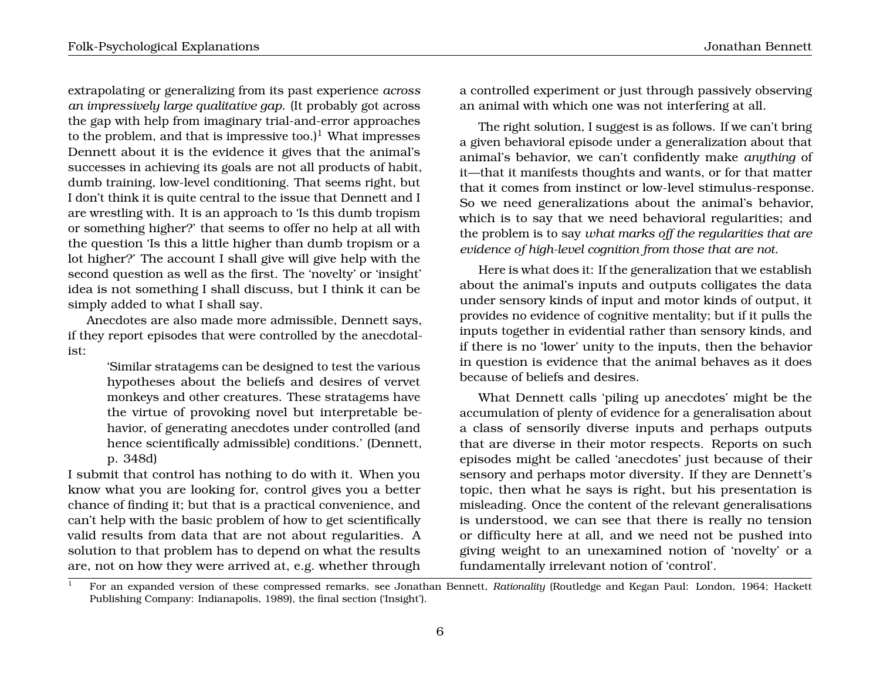extrapolating or generalizing from its past experience *across an impressively large qualitative gap*. (It probably got across the gap with help from imaginary trial-and-error approaches to the problem, and that is impressive too.)<sup>1</sup> What impresses Dennett about it is the evidence it gives that the animal's successes in achieving its goals are not all products of habit, dumb training, low-level conditioning. That seems right, but I don't think it is quite central to the issue that Dennett and I are wrestling with. It is an approach to 'Is this dumb tropism or something higher?' that seems to offer no help at all with the question 'Is this a little higher than dumb tropism or a lot higher?' The account I shall give will give help with the second question as well as the first. The 'novelty' or 'insight' idea is not something I shall discuss, but I think it can be simply added to what I shall say.

Anecdotes are also made more admissible, Dennett says, if they report episodes that were controlled by the anecdotalist:

> 'Similar stratagems can be designed to test the various hypotheses about the beliefs and desires of vervet monkeys and other creatures. These stratagems have the virtue of provoking novel but interpretable behavior, of generating anecdotes under controlled (and hence scientifically admissible) conditions.' (Dennett, p. 348d)

I submit that control has nothing to do with it. When you know what you are looking for, control gives you a better chance of finding it; but that is a practical convenience, and can't help with the basic problem of how to get scientifically valid results from data that are not about regularities. A solution to that problem has to depend on what the results are, not on how they were arrived at, e.g. whether through

a controlled experiment or just through passively observing an animal with which one was not interfering at all.

The right solution, I suggest is as follows. If we can't bring a given behavioral episode under a generalization about that animal's behavior, we can't confidently make *anything* of it—that it manifests thoughts and wants, or for that matter that it comes from instinct or low-level stimulus-response. So we need generalizations about the animal's behavior, which is to say that we need behavioral regularities; and the problem is to say *what marks off the regularities that are evidence of high-level cognition from those that are not*.

Here is what does it: If the generalization that we establish about the animal's inputs and outputs colligates the data under sensory kinds of input and motor kinds of output, it provides no evidence of cognitive mentality; but if it pulls the inputs together in evidential rather than sensory kinds, and if there is no 'lower' unity to the inputs, then the behavior in question is evidence that the animal behaves as it does because of beliefs and desires.

What Dennett calls 'piling up anecdotes' might be the accumulation of plenty of evidence for a generalisation about a class of sensorily diverse inputs and perhaps outputs that are diverse in their motor respects. Reports on such episodes might be called 'anecdotes' just because of their sensory and perhaps motor diversity. If they are Dennett's topic, then what he says is right, but his presentation is misleading. Once the content of the relevant generalisations is understood, we can see that there is really no tension or difficulty here at all, and we need not be pushed into giving weight to an unexamined notion of 'novelty' or a fundamentally irrelevant notion of 'control'.

<sup>1</sup> For an expanded version of these compressed remarks, see Jonathan Bennett, *Rationality* (Routledge and Kegan Paul: London, 1964; Hackett Publishing Company: Indianapolis, 1989), the final section ('Insight').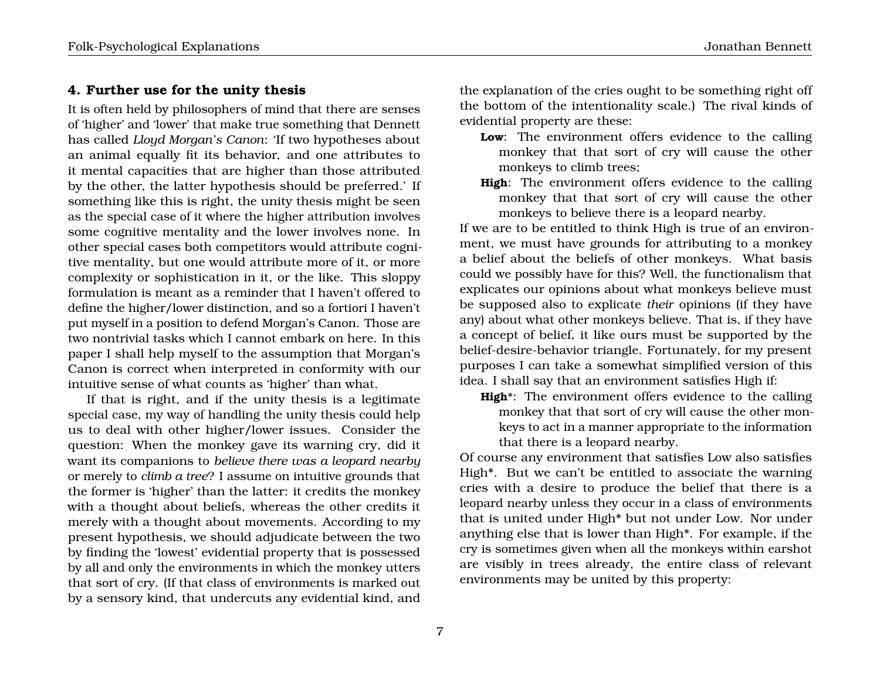## **4. Further use for the unity thesis**

It is often held by philosophers of mind that there are senses of 'higher' and 'lower' that make true something that Dennett has called *Lloyd Morgan's Canon*: 'If two hypotheses about an animal equally fit its behavior, and one attributes to it mental capacities that are higher than those attributed by the other, the latter hypothesis should be preferred.' If something like this is right, the unity thesis might be seen as the special case of it where the higher attribution involves some cognitive mentality and the lower involves none. In other special cases both competitors would attribute cognitive mentality, but one would attribute more of it, or more complexity or sophistication in it, or the like. This sloppy formulation is meant as a reminder that I haven't offered to define the higher/lower distinction, and so a fortiori I haven't put myself in a position to defend Morgan's Canon. Those are two nontrivial tasks which I cannot embark on here. In this paper I shall help myself to the assumption that Morgan's Canon is correct when interpreted in conformity with our intuitive sense of what counts as 'higher' than what.

If that is right, and if the unity thesis is a legitimate special case, my way of handling the unity thesis could help us to deal with other higher/lower issues. Consider the question: When the monkey gave its warning cry, did it want its companions to *believe there was a leopard nearby* or merely to *climb a tree*? I assume on intuitive grounds that the former is 'higher' than the latter: it credits the monkey with a thought about beliefs, whereas the other credits it merely with a thought about movements. According to my present hypothesis, we should adjudicate between the two by finding the 'lowest' evidential property that is possessed by all and only the environments in which the monkey utters that sort of cry. (If that class of environments is marked out by a sensory kind, that undercuts any evidential kind, and the explanation of the cries ought to be something right off the bottom of the intentionality scale.) The rival kinds of evidential property are these:

- **Low**: The environment offers evidence to the calling monkey that that sort of cry will cause the other monkeys to climb trees;
- **High**: The environment offers evidence to the calling monkey that that sort of cry will cause the other monkeys to believe there is a leopard nearby.

If we are to be entitled to think High is true of an environment, we must have grounds for attributing to a monkey a belief about the beliefs of other monkeys. What basis could we possibly have for this? Well, the functionalism that explicates our opinions about what monkeys believe must be supposed also to explicate *their* opinions (if they have any) about what other monkeys believe. That is, if they have a concept of belief, it like ours must be supported by the belief-desire-behavior triangle. Fortunately, for my present purposes I can take a somewhat simplified version of this idea. I shall say that an environment satisfies High if:

**High\***: The environment offers evidence to the calling monkey that that sort of cry will cause the other monkeys to act in a manner appropriate to the information that there is a leopard nearby.

Of course any environment that satisfies Low also satisfies High\*. But we can't be entitled to associate the warning cries with a desire to produce the belief that there is a leopard nearby unless they occur in a class of environments that is united under High\* but not under Low. Nor under anything else that is lower than High\*. For example, if the cry is sometimes given when all the monkeys within earshot are visibly in trees already, the entire class of relevant environments may be united by this property: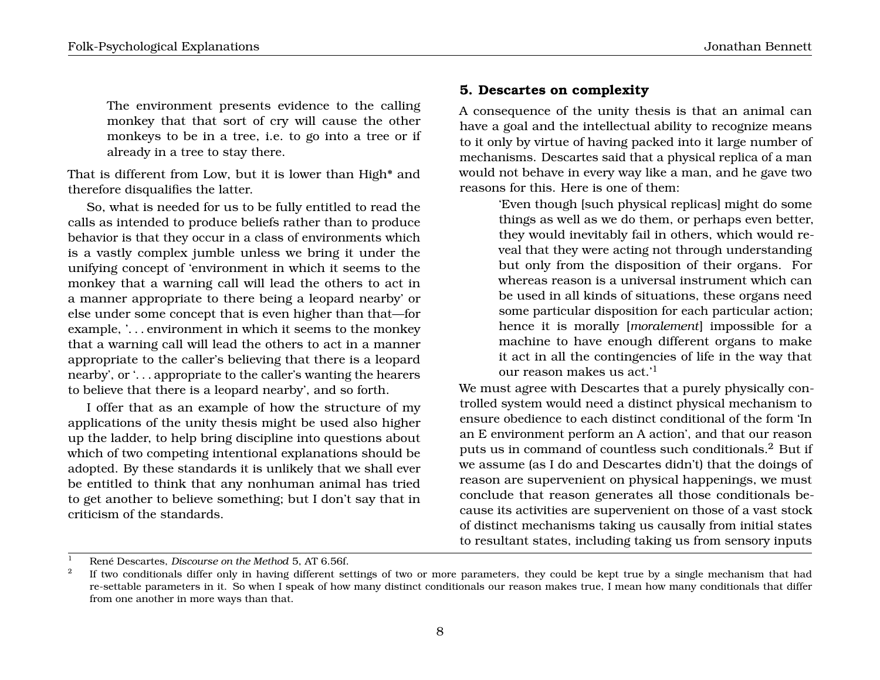The environment presents evidence to the calling monkey that that sort of cry will cause the other monkeys to be in a tree, i.e. to go into a tree or if already in a tree to stay there.

That is different from Low, but it is lower than High\* and therefore disqualifies the latter.

So, what is needed for us to be fully entitled to read the calls as intended to produce beliefs rather than to produce behavior is that they occur in a class of environments which is a vastly complex jumble unless we bring it under the unifying concept of 'environment in which it seems to the monkey that a warning call will lead the others to act in a manner appropriate to there being a leopard nearby' or else under some concept that is even higher than that—for example, '. . . environment in which it seems to the monkey that a warning call will lead the others to act in a manner appropriate to the caller's believing that there is a leopard nearby', or '. . . appropriate to the caller's wanting the hearers to believe that there is a leopard nearby', and so forth.

I offer that as an example of how the structure of my applications of the unity thesis might be used also higher up the ladder, to help bring discipline into questions about which of two competing intentional explanations should be adopted. By these standards it is unlikely that we shall ever be entitled to think that any nonhuman animal has tried to get another to believe something; but I don't say that in criticism of the standards.

### **5. Descartes on complexity**

A consequence of the unity thesis is that an animal can have a goal and the intellectual ability to recognize means to it only by virtue of having packed into it large number of mechanisms. Descartes said that a physical replica of a man would not behave in every way like a man, and he gave two reasons for this. Here is one of them:

> 'Even though [such physical replicas] might do some things as well as we do them, or perhaps even better, they would inevitably fail in others, which would reveal that they were acting not through understanding but only from the disposition of their organs. For whereas reason is a universal instrument which can be used in all kinds of situations, these organs need some particular disposition for each particular action; hence it is morally [*moralement*] impossible for a machine to have enough different organs to make it act in all the contingencies of life in the way that our reason makes us act.'<sup>1</sup>

We must agree with Descartes that a purely physically controlled system would need a distinct physical mechanism to ensure obedience to each distinct conditional of the form 'In an E environment perform an A action', and that our reason puts us in command of countless such conditionals.<sup>2</sup> But if we assume (as I do and Descartes didn't) that the doings of reason are supervenient on physical happenings, we must conclude that reason generates all those conditionals because its activities are supervenient on those of a vast stock of distinct mechanisms taking us causally from initial states to resultant states, including taking us from sensory inputs

<sup>1</sup> René Descartes, *Discourse on the Method* 5, AT 6.56f.

<sup>2</sup> If two conditionals differ only in having different settings of two or more parameters, they could be kept true by a single mechanism that had re-settable parameters in it. So when I speak of how many distinct conditionals our reason makes true, I mean how many conditionals that differ from one another in more ways than that.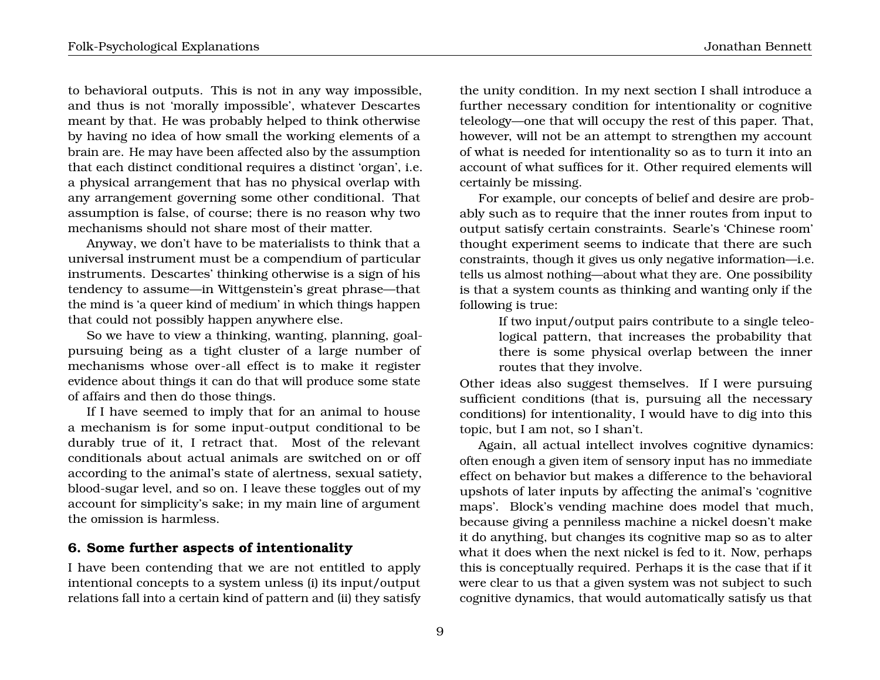to behavioral outputs. This is not in any way impossible, and thus is not 'morally impossible', whatever Descartes meant by that. He was probably helped to think otherwise by having no idea of how small the working elements of a brain are. He may have been affected also by the assumption that each distinct conditional requires a distinct 'organ', i.e. a physical arrangement that has no physical overlap with any arrangement governing some other conditional. That assumption is false, of course; there is no reason why two mechanisms should not share most of their matter.

Anyway, we don't have to be materialists to think that a universal instrument must be a compendium of particular instruments. Descartes' thinking otherwise is a sign of his tendency to assume—in Wittgenstein's great phrase—that the mind is 'a queer kind of medium' in which things happen that could not possibly happen anywhere else.

So we have to view a thinking, wanting, planning, goalpursuing being as a tight cluster of a large number of mechanisms whose over-all effect is to make it register evidence about things it can do that will produce some state of affairs and then do those things.

If I have seemed to imply that for an animal to house a mechanism is for some input-output conditional to be durably true of it, I retract that. Most of the relevant conditionals about actual animals are switched on or off according to the animal's state of alertness, sexual satiety, blood-sugar level, and so on. I leave these toggles out of my account for simplicity's sake; in my main line of argument the omission is harmless.

#### **6. Some further aspects of intentionality**

I have been contending that we are not entitled to apply intentional concepts to a system unless (i) its input/output relations fall into a certain kind of pattern and (ii) they satisfy the unity condition. In my next section I shall introduce a further necessary condition for intentionality or cognitive teleology—one that will occupy the rest of this paper. That, however, will not be an attempt to strengthen my account of what is needed for intentionality so as to turn it into an account of what suffices for it. Other required elements will certainly be missing.

For example, our concepts of belief and desire are probably such as to require that the inner routes from input to output satisfy certain constraints. Searle's 'Chinese room' thought experiment seems to indicate that there are such constraints, though it gives us only negative information—i.e. tells us almost nothing—about what they are. One possibility is that a system counts as thinking and wanting only if the following is true:

> If two input/output pairs contribute to a single teleological pattern, that increases the probability that there is some physical overlap between the inner routes that they involve.

Other ideas also suggest themselves. If I were pursuing sufficient conditions (that is, pursuing all the necessary conditions) for intentionality, I would have to dig into this topic, but I am not, so I shan't.

Again, all actual intellect involves cognitive dynamics: often enough a given item of sensory input has no immediate effect on behavior but makes a difference to the behavioral upshots of later inputs by affecting the animal's 'cognitive maps'. Block's vending machine does model that much, because giving a penniless machine a nickel doesn't make it do anything, but changes its cognitive map so as to alter what it does when the next nickel is fed to it. Now, perhaps this is conceptually required. Perhaps it is the case that if it were clear to us that a given system was not subject to such cognitive dynamics, that would automatically satisfy us that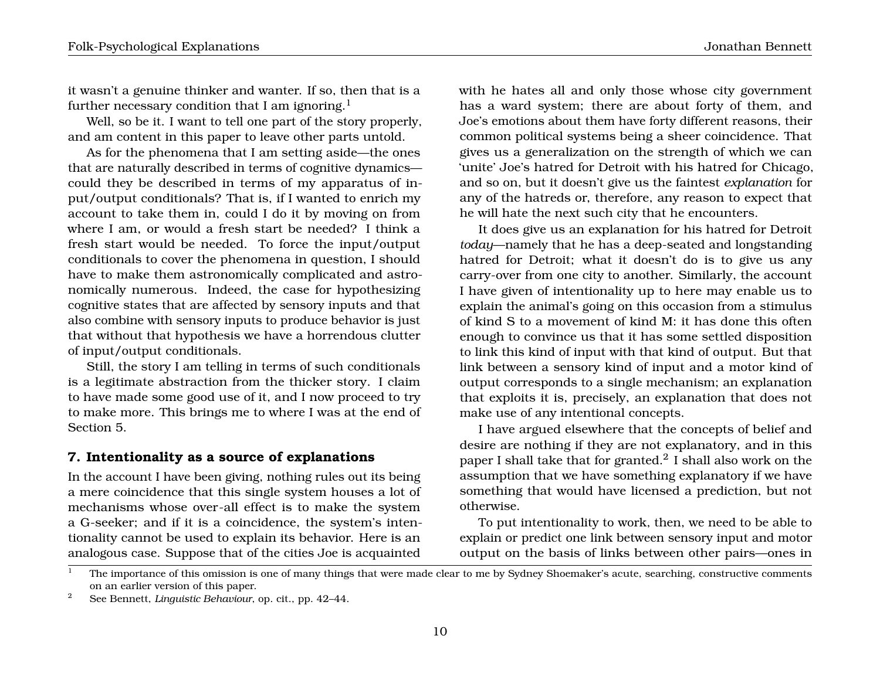it wasn't a genuine thinker and wanter. If so, then that is a further necessary condition that I am ignoring.<sup>1</sup>

Well, so be it. I want to tell one part of the story properly, and am content in this paper to leave other parts untold.

As for the phenomena that I am setting aside—the ones that are naturally described in terms of cognitive dynamics could they be described in terms of my apparatus of input/output conditionals? That is, if I wanted to enrich my account to take them in, could I do it by moving on from where I am, or would a fresh start be needed? I think a fresh start would be needed. To force the input/output conditionals to cover the phenomena in question, I should have to make them astronomically complicated and astronomically numerous. Indeed, the case for hypothesizing cognitive states that are affected by sensory inputs and that also combine with sensory inputs to produce behavior is just that without that hypothesis we have a horrendous clutter of input/output conditionals.

Still, the story I am telling in terms of such conditionals is a legitimate abstraction from the thicker story. I claim to have made some good use of it, and I now proceed to try to make more. This brings me to where I was at the end of Section 5.

## **7. Intentionality as a source of explanations**

In the account I have been giving, nothing rules out its being a mere coincidence that this single system houses a lot of mechanisms whose over-all effect is to make the system a G-seeker; and if it is a coincidence, the system's intentionality cannot be used to explain its behavior. Here is an analogous case. Suppose that of the cities Joe is acquainted

with he hates all and only those whose city government has a ward system; there are about forty of them, and Joe's emotions about them have forty different reasons, their common political systems being a sheer coincidence. That gives us a generalization on the strength of which we can 'unite' Joe's hatred for Detroit with his hatred for Chicago, and so on, but it doesn't give us the faintest *explanation* for any of the hatreds or, therefore, any reason to expect that he will hate the next such city that he encounters.

It does give us an explanation for his hatred for Detroit *today*—namely that he has a deep-seated and longstanding hatred for Detroit; what it doesn't do is to give us any carry-over from one city to another. Similarly, the account I have given of intentionality up to here may enable us to explain the animal's going on this occasion from a stimulus of kind S to a movement of kind M: it has done this often enough to convince us that it has some settled disposition to link this kind of input with that kind of output. But that link between a sensory kind of input and a motor kind of output corresponds to a single mechanism; an explanation that exploits it is, precisely, an explanation that does not make use of any intentional concepts.

I have argued elsewhere that the concepts of belief and desire are nothing if they are not explanatory, and in this paper I shall take that for granted. $^2$  I shall also work on the assumption that we have something explanatory if we have something that would have licensed a prediction, but not otherwise.

To put intentionality to work, then, we need to be able to explain or predict one link between sensory input and motor output on the basis of links between other pairs—ones in

<sup>1</sup> The importance of this omission is one of many things that were made clear to me by Sydney Shoemaker's acute, searching, constructive comments on an earlier version of this paper.

<sup>2</sup> See Bennett, *Linguistic Behaviour*, op. cit., pp. 42–44.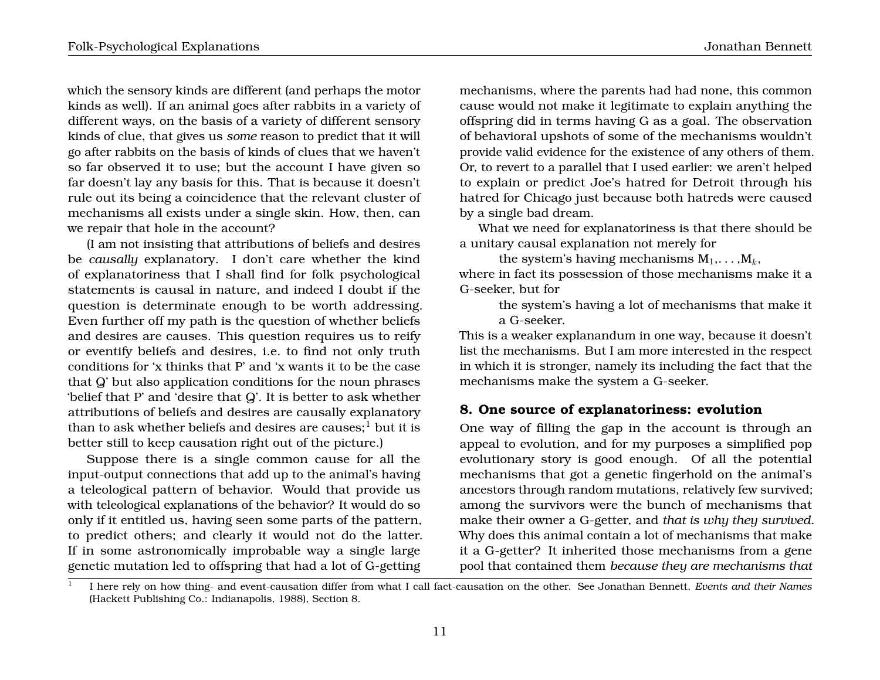which the sensory kinds are different (and perhaps the motor kinds as well). If an animal goes after rabbits in a variety of different ways, on the basis of a variety of different sensory kinds of clue, that gives us *some* reason to predict that it will go after rabbits on the basis of kinds of clues that we haven't so far observed it to use; but the account I have given so far doesn't lay any basis for this. That is because it doesn't rule out its being a coincidence that the relevant cluster of mechanisms all exists under a single skin. How, then, can we repair that hole in the account?

(I am not insisting that attributions of beliefs and desires be *causally* explanatory. I don't care whether the kind of explanatoriness that I shall find for folk psychological statements is causal in nature, and indeed I doubt if the question is determinate enough to be worth addressing. Even further off my path is the question of whether beliefs and desires are causes. This question requires us to reify or eventify beliefs and desires, i.e. to find not only truth conditions for 'x thinks that P' and 'x wants it to be the case that Q' but also application conditions for the noun phrases 'belief that P' and 'desire that Q'. It is better to ask whether attributions of beliefs and desires are causally explanatory than to ask whether beliefs and desires are causes; $<sup>1</sup>$  but it is</sup> better still to keep causation right out of the picture.)

Suppose there is a single common cause for all the input-output connections that add up to the animal's having a teleological pattern of behavior. Would that provide us with teleological explanations of the behavior? It would do so only if it entitled us, having seen some parts of the pattern, to predict others; and clearly it would not do the latter. If in some astronomically improbable way a single large genetic mutation led to offspring that had a lot of G-getting mechanisms, where the parents had had none, this common cause would not make it legitimate to explain anything the offspring did in terms having G as a goal. The observation of behavioral upshots of some of the mechanisms wouldn't provide valid evidence for the existence of any others of them. Or, to revert to a parallel that I used earlier: we aren't helped to explain or predict Joe's hatred for Detroit through his hatred for Chicago just because both hatreds were caused by a single bad dream.

What we need for explanatoriness is that there should be a unitary causal explanation not merely for

the system's having mechanisms  $M_1, \ldots, M_k$ , where in fact its possession of those mechanisms make it a G-seeker, but for

the system's having a lot of mechanisms that make it a G-seeker.

This is a weaker explanandum in one way, because it doesn't list the mechanisms. But I am more interested in the respect in which it is stronger, namely its including the fact that the mechanisms make the system a G-seeker.

# **8. One source of explanatoriness: evolution**

One way of filling the gap in the account is through an appeal to evolution, and for my purposes a simplified pop evolutionary story is good enough. Of all the potential mechanisms that got a genetic fingerhold on the animal's ancestors through random mutations, relatively few survived; among the survivors were the bunch of mechanisms that make their owner a G-getter, and *that is why they survived*. Why does this animal contain a lot of mechanisms that make it a G-getter? It inherited those mechanisms from a gene pool that contained them *because they are mechanisms that*

<sup>1</sup> I here rely on how thing- and event-causation differ from what I call fact-causation on the other. See Jonathan Bennett, *Events and their Names* (Hackett Publishing Co.: Indianapolis, 1988), Section 8.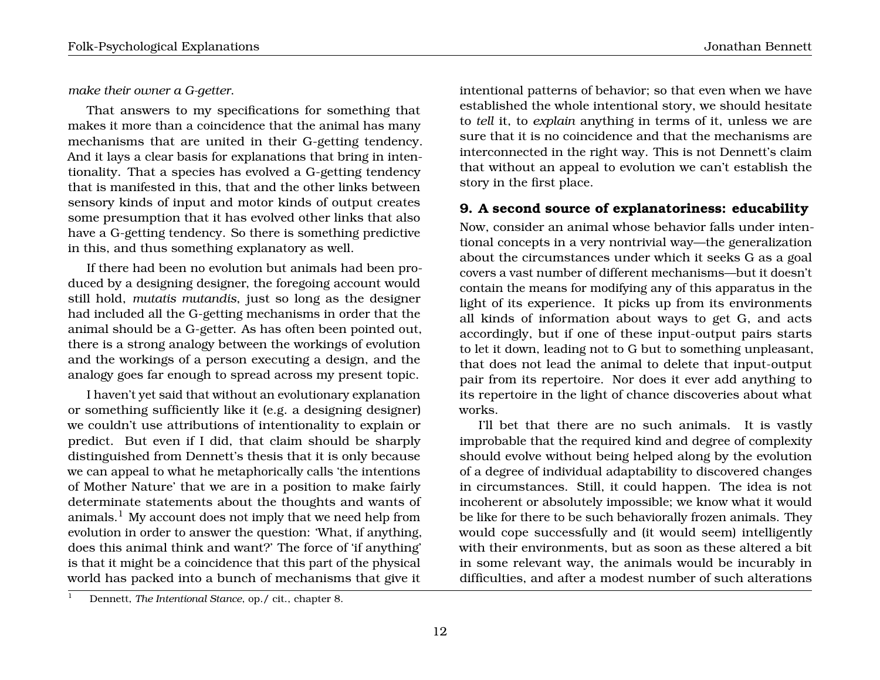*make their owner a G-getter*.

That answers to my specifications for something that makes it more than a coincidence that the animal has many mechanisms that are united in their G-getting tendency. And it lays a clear basis for explanations that bring in intentionality. That a species has evolved a G-getting tendency that is manifested in this, that and the other links between sensory kinds of input and motor kinds of output creates some presumption that it has evolved other links that also have a G-getting tendency. So there is something predictive in this, and thus something explanatory as well.

If there had been no evolution but animals had been produced by a designing designer, the foregoing account would still hold, *mutatis mutandis*, just so long as the designer had included all the G-getting mechanisms in order that the animal should be a G-getter. As has often been pointed out, there is a strong analogy between the workings of evolution and the workings of a person executing a design, and the analogy goes far enough to spread across my present topic.

I haven't yet said that without an evolutionary explanation or something sufficiently like it (e.g. a designing designer) we couldn't use attributions of intentionality to explain or predict. But even if I did, that claim should be sharply distinguished from Dennett's thesis that it is only because we can appeal to what he metaphorically calls 'the intentions of Mother Nature' that we are in a position to make fairly determinate statements about the thoughts and wants of animals.<sup>1</sup> My account does not imply that we need help from evolution in order to answer the question: 'What, if anything, does this animal think and want?' The force of 'if anything' is that it might be a coincidence that this part of the physical world has packed into a bunch of mechanisms that give it

intentional patterns of behavior; so that even when we have established the whole intentional story, we should hesitate to *tell* it, to *explain* anything in terms of it, unless we are sure that it is no coincidence and that the mechanisms are interconnected in the right way. This is not Dennett's claim that without an appeal to evolution we can't establish the story in the first place.

# **9. A second source of explanatoriness: educability**

Now, consider an animal whose behavior falls under intentional concepts in a very nontrivial way—the generalization about the circumstances under which it seeks G as a goal covers a vast number of different mechanisms—but it doesn't contain the means for modifying any of this apparatus in the light of its experience. It picks up from its environments all kinds of information about ways to get G, and acts accordingly, but if one of these input-output pairs starts to let it down, leading not to G but to something unpleasant, that does not lead the animal to delete that input-output pair from its repertoire. Nor does it ever add anything to its repertoire in the light of chance discoveries about what works.

I'll bet that there are no such animals. It is vastly improbable that the required kind and degree of complexity should evolve without being helped along by the evolution of a degree of individual adaptability to discovered changes in circumstances. Still, it could happen. The idea is not incoherent or absolutely impossible; we know what it would be like for there to be such behaviorally frozen animals. They would cope successfully and (it would seem) intelligently with their environments, but as soon as these altered a bit in some relevant way, the animals would be incurably in difficulties, and after a modest number of such alterations

<sup>1</sup> Dennett, *The Intentional Stance*, op./ cit., chapter 8.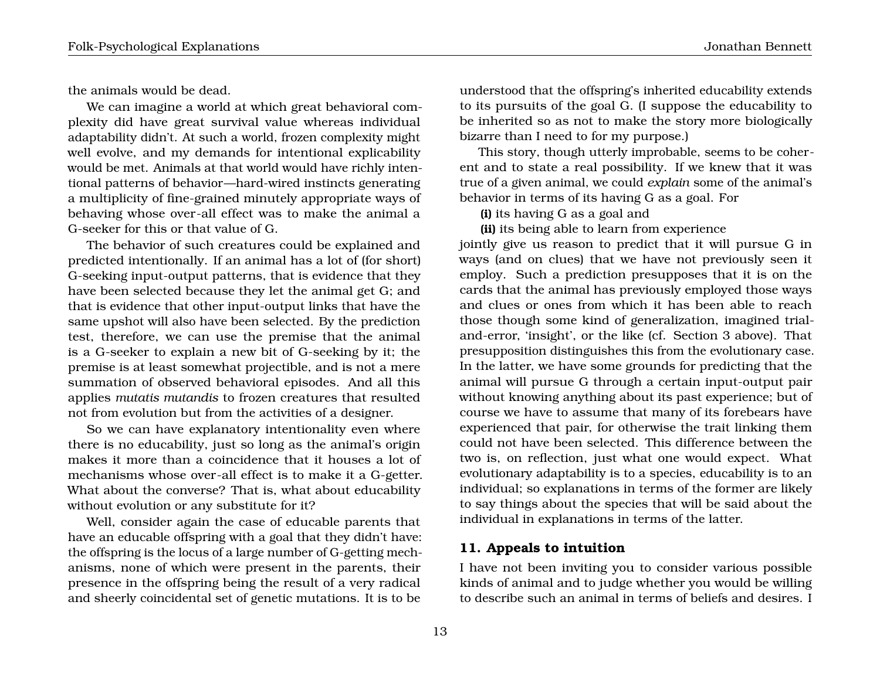the animals would be dead.

We can imagine a world at which great behavioral complexity did have great survival value whereas individual adaptability didn't. At such a world, frozen complexity might well evolve, and my demands for intentional explicability would be met. Animals at that world would have richly intentional patterns of behavior—hard-wired instincts generating a multiplicity of fine-grained minutely appropriate ways of behaving whose over-all effect was to make the animal a G-seeker for this or that value of G.

The behavior of such creatures could be explained and predicted intentionally. If an animal has a lot of (for short) G-seeking input-output patterns, that is evidence that they have been selected because they let the animal get G; and that is evidence that other input-output links that have the same upshot will also have been selected. By the prediction test, therefore, we can use the premise that the animal is a G-seeker to explain a new bit of G-seeking by it; the premise is at least somewhat projectible, and is not a mere summation of observed behavioral episodes. And all this applies *mutatis mutandis* to frozen creatures that resulted not from evolution but from the activities of a designer.

So we can have explanatory intentionality even where there is no educability, just so long as the animal's origin makes it more than a coincidence that it houses a lot of mechanisms whose over-all effect is to make it a G-getter. What about the converse? That is, what about educability without evolution or any substitute for it?

Well, consider again the case of educable parents that have an educable offspring with a goal that they didn't have: the offspring is the locus of a large number of G-getting mechanisms, none of which were present in the parents, their presence in the offspring being the result of a very radical and sheerly coincidental set of genetic mutations. It is to be

understood that the offspring's inherited educability extends to its pursuits of the goal G. (I suppose the educability to be inherited so as not to make the story more biologically bizarre than I need to for my purpose.)

This story, though utterly improbable, seems to be coherent and to state a real possibility. If we knew that it was true of a given animal, we could *explain* some of the animal's behavior in terms of its having G as a goal. For

**(i)** its having G as a goal and

**(ii)** its being able to learn from experience

jointly give us reason to predict that it will pursue G in ways (and on clues) that we have not previously seen it employ. Such a prediction presupposes that it is on the cards that the animal has previously employed those ways and clues or ones from which it has been able to reach those though some kind of generalization, imagined trialand-error, 'insight', or the like (cf. Section 3 above). That presupposition distinguishes this from the evolutionary case. In the latter, we have some grounds for predicting that the animal will pursue G through a certain input-output pair without knowing anything about its past experience; but of course we have to assume that many of its forebears have experienced that pair, for otherwise the trait linking them could not have been selected. This difference between the two is, on reflection, just what one would expect. What evolutionary adaptability is to a species, educability is to an individual; so explanations in terms of the former are likely to say things about the species that will be said about the individual in explanations in terms of the latter.

### **11. Appeals to intuition**

I have not been inviting you to consider various possible kinds of animal and to judge whether you would be willing to describe such an animal in terms of beliefs and desires. I